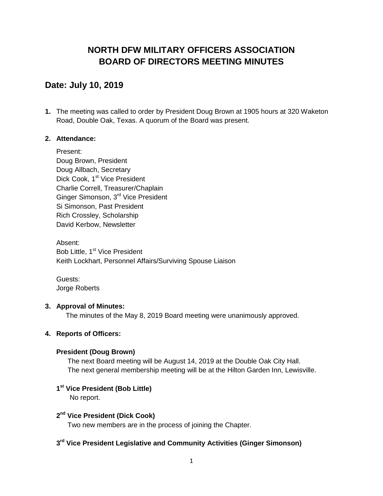# **NORTH DFW MILITARY OFFICERS ASSOCIATION BOARD OF DIRECTORS MEETING MINUTES**

# **Date: July 10, 2019**

**1.** The meeting was called to order by President Doug Brown at 1905 hours at 320 Waketon Road, Double Oak, Texas. A quorum of the Board was present.

# **2. Attendance:**

Present: Doug Brown, President Doug Allbach, Secretary Dick Cook, 1<sup>st</sup> Vice President Charlie Correll, Treasurer/Chaplain Ginger Simonson, 3rd Vice President Si Simonson, Past President Rich Crossley, Scholarship David Kerbow, Newsletter

Absent: Bob Little, 1<sup>st</sup> Vice President Keith Lockhart, Personnel Affairs/Surviving Spouse Liaison

Guests: Jorge Roberts

# **3. Approval of Minutes:**

The minutes of the May 8, 2019 Board meeting were unanimously approved.

# **4. Reports of Officers:**

### **President (Doug Brown)**

The next Board meeting will be August 14, 2019 at the Double Oak City Hall. The next general membership meeting will be at the Hilton Garden Inn, Lewisville.

## **1 st Vice President (Bob Little)**

No report.

# **2 nd Vice President (Dick Cook)**

Two new members are in the process of joining the Chapter.

# **3 rd Vice President Legislative and Community Activities (Ginger Simonson)**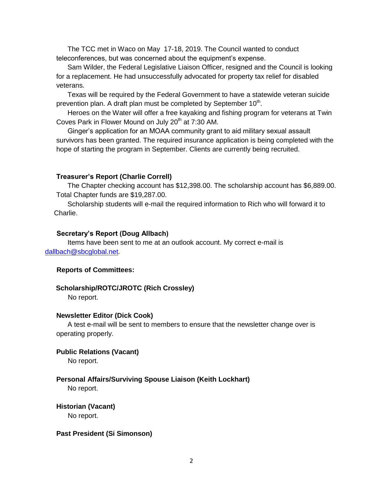The TCC met in Waco on May 17-18, 2019. The Council wanted to conduct teleconferences, but was concerned about the equipment's expense.

Sam Wilder, the Federal Legislative Liaison Officer, resigned and the Council is looking for a replacement. He had unsuccessfully advocated for property tax relief for disabled veterans.

Texas will be required by the Federal Government to have a statewide veteran suicide prevention plan. A draft plan must be completed by September 10<sup>th</sup>.

Heroes on the Water will offer a free kayaking and fishing program for veterans at Twin Coves Park in Flower Mound on July  $20<sup>th</sup>$  at 7:30 AM.

Ginger's application for an MOAA community grant to aid military sexual assault survivors has been granted. The required insurance application is being completed with the hope of starting the program in September. Clients are currently being recruited.

#### **Treasurer's Report (Charlie Correll)**

The Chapter checking account has \$12,398.00. The scholarship account has \$6,889.00. Total Chapter funds are \$19,287.00.

Scholarship students will e-mail the required information to Rich who will forward it to Charlie.

#### **Secretary's Report (Doug Allbach)**

Items have been sent to me at an outlook account. My correct e-mail is [dallbach@sbcglobal.net.](mailto:dallbach@sbcglobal.net)

#### **Reports of Committees:**

#### **Scholarship/ROTC/JROTC (Rich Crossley)**

No report.

#### **Newsletter Editor (Dick Cook)**

A test e-mail will be sent to members to ensure that the newsletter change over is operating properly.

#### **Public Relations (Vacant)**

No report.

# **Personal Affairs/Surviving Spouse Liaison (Keith Lockhart)**

No report.

**Historian (Vacant)** No report.

#### **Past President (Si Simonson)**